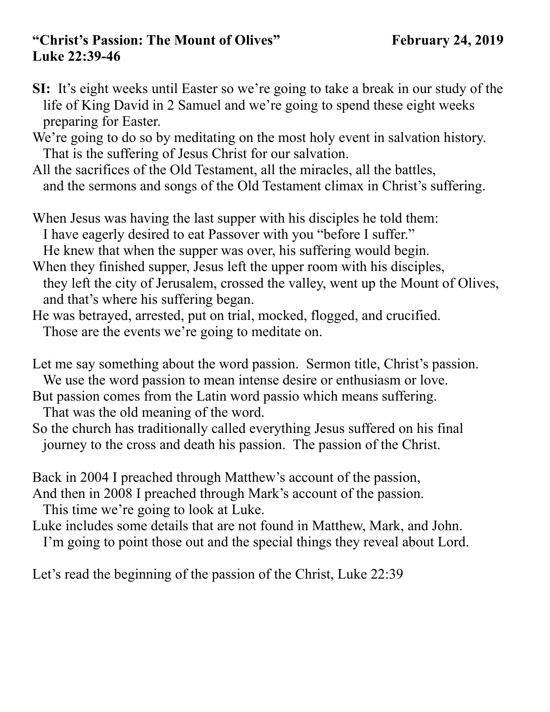## **"Christ's Passion: The Mount of Olives" February 24, 2019 Luke 22:39-46**

- **SI:** It's eight weeks until Easter so we're going to take a break in our study of the life of King David in 2 Samuel and we're going to spend these eight weeks preparing for Easter.
- We're going to do so by meditating on the most holy event in salvation history. That is the suffering of Jesus Christ for our salvation.
- All the sacrifices of the Old Testament, all the miracles, all the battles, and the sermons and songs of the Old Testament climax in Christ's suffering.
- When Jesus was having the last supper with his disciples he told them: I have eagerly desired to eat Passover with you "before I suffer." He knew that when the supper was over, his suffering would begin.
- When they finished supper, Jesus left the upper room with his disciples, they left the city of Jerusalem, crossed the valley, went up the Mount of Olives, and that's where his suffering began.
- He was betrayed, arrested, put on trial, mocked, flogged, and crucified. Those are the events we're going to meditate on.
- Let me say something about the word passion. Sermon title, Christ's passion.
- We use the word passion to mean intense desire or enthusiasm or love.
- But passion comes from the Latin word passio which means suffering.
	- That was the old meaning of the word.
- So the church has traditionally called everything Jesus suffered on his final journey to the cross and death his passion. The passion of the Christ.

Back in 2004 I preached through Matthew's account of the passion, And then in 2008 I preached through Mark's account of the passion.

This time we're going to look at Luke.

Luke includes some details that are not found in Matthew, Mark, and John.

I'm going to point those out and the special things they reveal about Lord.

Let's read the beginning of the passion of the Christ, Luke 22:39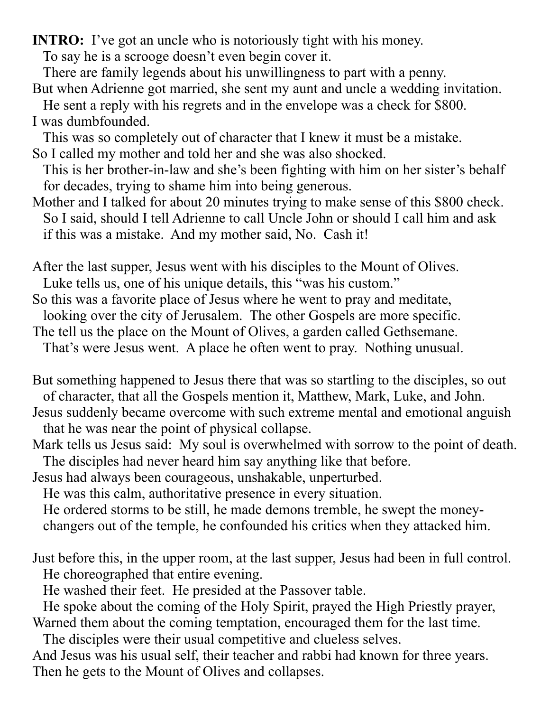**INTRO:** I've got an uncle who is notoriously tight with his money.

To say he is a scrooge doesn't even begin cover it.

There are family legends about his unwillingness to part with a penny.

But when Adrienne got married, she sent my aunt and uncle a wedding invitation.

 He sent a reply with his regrets and in the envelope was a check for \$800. I was dumbfounded.

 This was so completely out of character that I knew it must be a mistake. So I called my mother and told her and she was also shocked.

 This is her brother-in-law and she's been fighting with him on her sister's behalf for decades, trying to shame him into being generous.

Mother and I talked for about 20 minutes trying to make sense of this \$800 check. So I said, should I tell Adrienne to call Uncle John or should I call him and ask if this was a mistake. And my mother said, No. Cash it!

After the last supper, Jesus went with his disciples to the Mount of Olives. Luke tells us, one of his unique details, this "was his custom."

So this was a favorite place of Jesus where he went to pray and meditate,

looking over the city of Jerusalem. The other Gospels are more specific.

The tell us the place on the Mount of Olives, a garden called Gethsemane.

That's were Jesus went. A place he often went to pray. Nothing unusual.

But something happened to Jesus there that was so startling to the disciples, so out of character, that all the Gospels mention it, Matthew, Mark, Luke, and John.

Jesus suddenly became overcome with such extreme mental and emotional anguish that he was near the point of physical collapse.

Mark tells us Jesus said: My soul is overwhelmed with sorrow to the point of death. The disciples had never heard him say anything like that before.

Jesus had always been courageous, unshakable, unperturbed.

He was this calm, authoritative presence in every situation.

 He ordered storms to be still, he made demons tremble, he swept the money changers out of the temple, he confounded his critics when they attacked him.

Just before this, in the upper room, at the last supper, Jesus had been in full control. He choreographed that entire evening.

He washed their feet. He presided at the Passover table.

 He spoke about the coming of the Holy Spirit, prayed the High Priestly prayer, Warned them about the coming temptation, encouraged them for the last time.

The disciples were their usual competitive and clueless selves.

And Jesus was his usual self, their teacher and rabbi had known for three years. Then he gets to the Mount of Olives and collapses.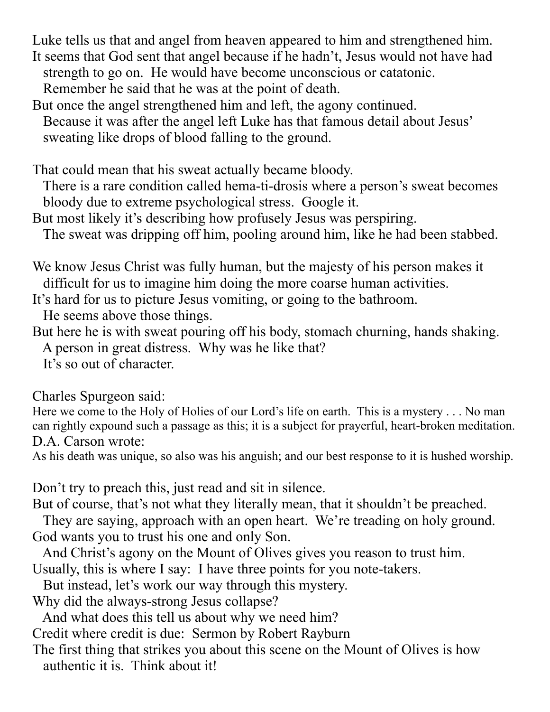Luke tells us that and angel from heaven appeared to him and strengthened him. It seems that God sent that angel because if he hadn't, Jesus would not have had strength to go on. He would have become unconscious or catatonic. Remember he said that he was at the point of death.

But once the angel strengthened him and left, the agony continued.

 Because it was after the angel left Luke has that famous detail about Jesus' sweating like drops of blood falling to the ground.

That could mean that his sweat actually became bloody.

 There is a rare condition called hema-ti-drosis where a person's sweat becomes bloody due to extreme psychological stress. Google it.

But most likely it's describing how profusely Jesus was perspiring.

The sweat was dripping off him, pooling around him, like he had been stabbed.

We know Jesus Christ was fully human, but the majesty of his person makes it difficult for us to imagine him doing the more coarse human activities.

It's hard for us to picture Jesus vomiting, or going to the bathroom.

He seems above those things.

But here he is with sweat pouring off his body, stomach churning, hands shaking. A person in great distress. Why was he like that?

It's so out of character.

Charles Spurgeon said:

Here we come to the Holy of Holies of our Lord's life on earth. This is a mystery . . . No man can rightly expound such a passage as this; it is a subject for prayerful, heart-broken meditation. D.A. Carson wrote:

As his death was unique, so also was his anguish; and our best response to it is hushed worship.

Don't try to preach this, just read and sit in silence.

But of course, that's not what they literally mean, that it shouldn't be preached.

 They are saying, approach with an open heart. We're treading on holy ground. God wants you to trust his one and only Son.

And Christ's agony on the Mount of Olives gives you reason to trust him.

Usually, this is where I say: I have three points for you note-takers.

But instead, let's work our way through this mystery.

Why did the always-strong Jesus collapse?

And what does this tell us about why we need him?

Credit where credit is due: Sermon by Robert Rayburn

The first thing that strikes you about this scene on the Mount of Olives is how authentic it is. Think about it!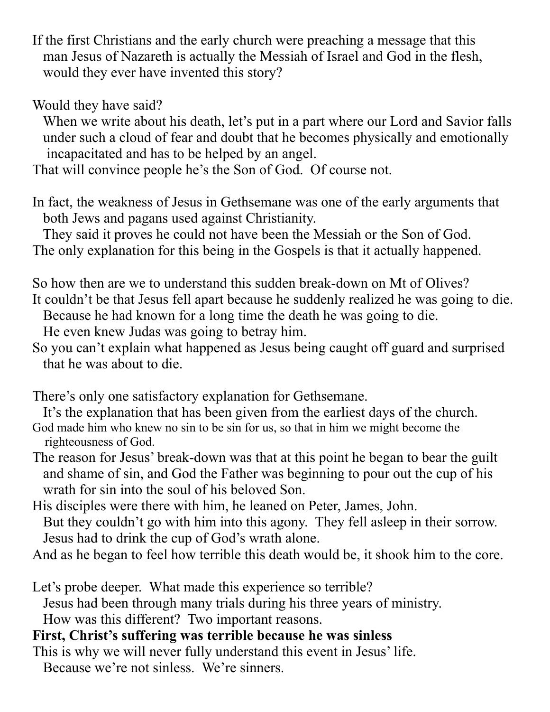If the first Christians and the early church were preaching a message that this man Jesus of Nazareth is actually the Messiah of Israel and God in the flesh, would they ever have invented this story?

Would they have said?

 When we write about his death, let's put in a part where our Lord and Savior falls under such a cloud of fear and doubt that he becomes physically and emotionally incapacitated and has to be helped by an angel.

That will convince people he's the Son of God. Of course not.

In fact, the weakness of Jesus in Gethsemane was one of the early arguments that both Jews and pagans used against Christianity.

 They said it proves he could not have been the Messiah or the Son of God. The only explanation for this being in the Gospels is that it actually happened.

So how then are we to understand this sudden break-down on Mt of Olives? It couldn't be that Jesus fell apart because he suddenly realized he was going to die. Because he had known for a long time the death he was going to die.

He even knew Judas was going to betray him.

So you can't explain what happened as Jesus being caught off guard and surprised that he was about to die.

There's only one satisfactory explanation for Gethsemane.

It's the explanation that has been given from the earliest days of the church.

- God made him who knew no sin to be sin for us, so that in him we might become the righteousness of God.
- The reason for Jesus' break-down was that at this point he began to bear the guilt and shame of sin, and God the Father was beginning to pour out the cup of his wrath for sin into the soul of his beloved Son.

His disciples were there with him, he leaned on Peter, James, John. But they couldn't go with him into this agony. They fell asleep in their sorrow. Jesus had to drink the cup of God's wrath alone.

And as he began to feel how terrible this death would be, it shook him to the core.

Let's probe deeper. What made this experience so terrible? Jesus had been through many trials during his three years of ministry. How was this different? Two important reasons.

## **First, Christ's suffering was terrible because he was sinless**

This is why we will never fully understand this event in Jesus' life. Because we're not sinless. We're sinners.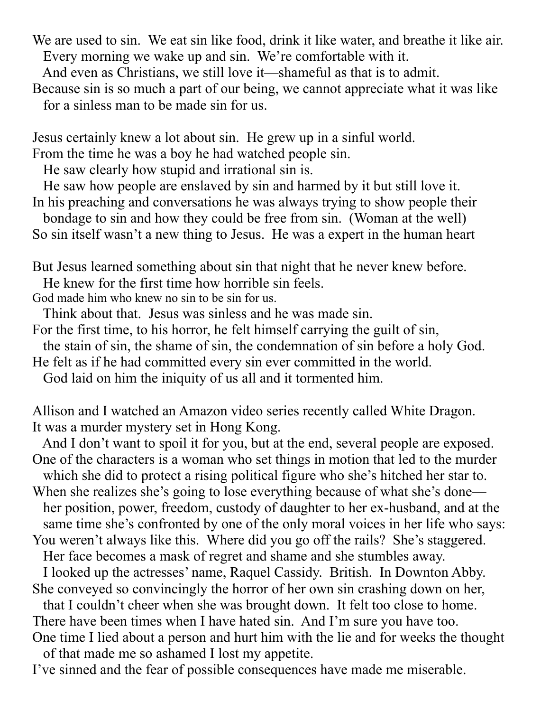We are used to sin. We eat sin like food, drink it like water, and breathe it like air. Every morning we wake up and sin. We're comfortable with it.

And even as Christians, we still love it—shameful as that is to admit.

Because sin is so much a part of our being, we cannot appreciate what it was like for a sinless man to be made sin for us.

Jesus certainly knew a lot about sin. He grew up in a sinful world.

From the time he was a boy he had watched people sin.

He saw clearly how stupid and irrational sin is.

 He saw how people are enslaved by sin and harmed by it but still love it. In his preaching and conversations he was always trying to show people their

 bondage to sin and how they could be free from sin. (Woman at the well) So sin itself wasn't a new thing to Jesus. He was a expert in the human heart

But Jesus learned something about sin that night that he never knew before.

He knew for the first time how horrible sin feels.

God made him who knew no sin to be sin for us.

Think about that. Jesus was sinless and he was made sin.

For the first time, to his horror, he felt himself carrying the guilt of sin,

the stain of sin, the shame of sin, the condemnation of sin before a holy God.

He felt as if he had committed every sin ever committed in the world.

God laid on him the iniquity of us all and it tormented him.

Allison and I watched an Amazon video series recently called White Dragon. It was a murder mystery set in Hong Kong.

 And I don't want to spoil it for you, but at the end, several people are exposed. One of the characters is a woman who set things in motion that led to the murder

which she did to protect a rising political figure who she's hitched her star to.

When she realizes she's going to lose everything because of what she's done her position, power, freedom, custody of daughter to her ex-husband, and at the same time she's confronted by one of the only moral voices in her life who says:

You weren't always like this. Where did you go off the rails? She's staggered.

Her face becomes a mask of regret and shame and she stumbles away.

 I looked up the actresses' name, Raquel Cassidy. British. In Downton Abby. She conveyed so convincingly the horror of her own sin crashing down on her,

 that I couldn't cheer when she was brought down. It felt too close to home. There have been times when I have hated sin. And I'm sure you have too.

One time I lied about a person and hurt him with the lie and for weeks the thought of that made me so ashamed I lost my appetite.

I've sinned and the fear of possible consequences have made me miserable.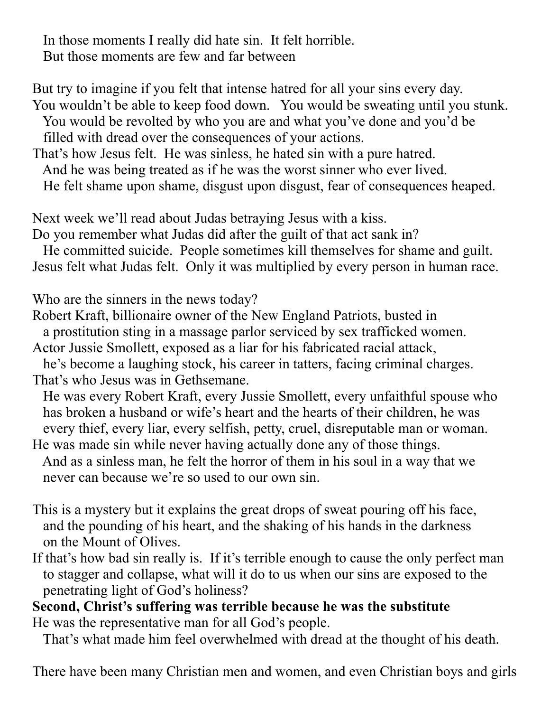In those moments I really did hate sin. It felt horrible. But those moments are few and far between

But try to imagine if you felt that intense hatred for all your sins every day. You wouldn't be able to keep food down. You would be sweating until you stunk. You would be revolted by who you are and what you've done and you'd be filled with dread over the consequences of your actions.

That's how Jesus felt. He was sinless, he hated sin with a pure hatred. And he was being treated as if he was the worst sinner who ever lived. He felt shame upon shame, disgust upon disgust, fear of consequences heaped.

Next week we'll read about Judas betraying Jesus with a kiss. Do you remember what Judas did after the guilt of that act sank in?

 He committed suicide. People sometimes kill themselves for shame and guilt. Jesus felt what Judas felt. Only it was multiplied by every person in human race.

Who are the sinners in the news today?

Robert Kraft, billionaire owner of the New England Patriots, busted in a prostitution sting in a massage parlor serviced by sex trafficked women.

Actor Jussie Smollett, exposed as a liar for his fabricated racial attack,

 he's become a laughing stock, his career in tatters, facing criminal charges. That's who Jesus was in Gethsemane.

 He was every Robert Kraft, every Jussie Smollett, every unfaithful spouse who has broken a husband or wife's heart and the hearts of their children, he was every thief, every liar, every selfish, petty, cruel, disreputable man or woman.

He was made sin while never having actually done any of those things. And as a sinless man, he felt the horror of them in his soul in a way that we never can because we're so used to our own sin.

- This is a mystery but it explains the great drops of sweat pouring off his face, and the pounding of his heart, and the shaking of his hands in the darkness on the Mount of Olives.
- If that's how bad sin really is. If it's terrible enough to cause the only perfect man to stagger and collapse, what will it do to us when our sins are exposed to the penetrating light of God's holiness?

**Second, Christ's suffering was terrible because he was the substitute**  He was the representative man for all God's people.

That's what made him feel overwhelmed with dread at the thought of his death.

There have been many Christian men and women, and even Christian boys and girls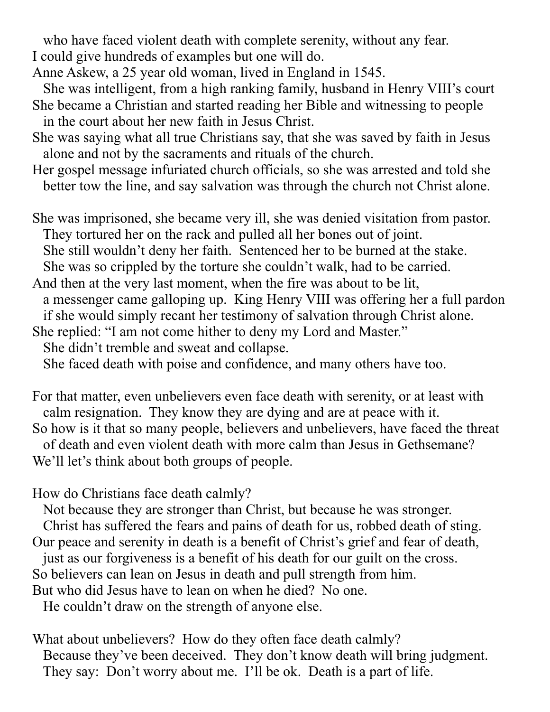who have faced violent death with complete serenity, without any fear. I could give hundreds of examples but one will do.

- Anne Askew, a 25 year old woman, lived in England in 1545.
- She was intelligent, from a high ranking family, husband in Henry VIII's court She became a Christian and started reading her Bible and witnessing to people in the court about her new faith in Jesus Christ.
- She was saying what all true Christians say, that she was saved by faith in Jesus alone and not by the sacraments and rituals of the church.

Her gospel message infuriated church officials, so she was arrested and told she better tow the line, and say salvation was through the church not Christ alone.

She was imprisoned, she became very ill, she was denied visitation from pastor. They tortured her on the rack and pulled all her bones out of joint. She still wouldn't deny her faith. Sentenced her to be burned at the stake. She was so crippled by the torture she couldn't walk, had to be carried.

And then at the very last moment, when the fire was about to be lit, a messenger came galloping up. King Henry VIII was offering her a full pardon if she would simply recant her testimony of salvation through Christ alone.

She replied: "I am not come hither to deny my Lord and Master."

She didn't tremble and sweat and collapse.

She faced death with poise and confidence, and many others have too.

For that matter, even unbelievers even face death with serenity, or at least with calm resignation. They know they are dying and are at peace with it. So how is it that so many people, believers and unbelievers, have faced the threat of death and even violent death with more calm than Jesus in Gethsemane? We'll let's think about both groups of people.

How do Christians face death calmly?

Not because they are stronger than Christ, but because he was stronger.

 Christ has suffered the fears and pains of death for us, robbed death of sting. Our peace and serenity in death is a benefit of Christ's grief and fear of death,

just as our forgiveness is a benefit of his death for our guilt on the cross.

So believers can lean on Jesus in death and pull strength from him.

But who did Jesus have to lean on when he died? No one.

He couldn't draw on the strength of anyone else.

What about unbelievers? How do they often face death calmly? Because they've been deceived. They don't know death will bring judgment. They say: Don't worry about me. I'll be ok. Death is a part of life.